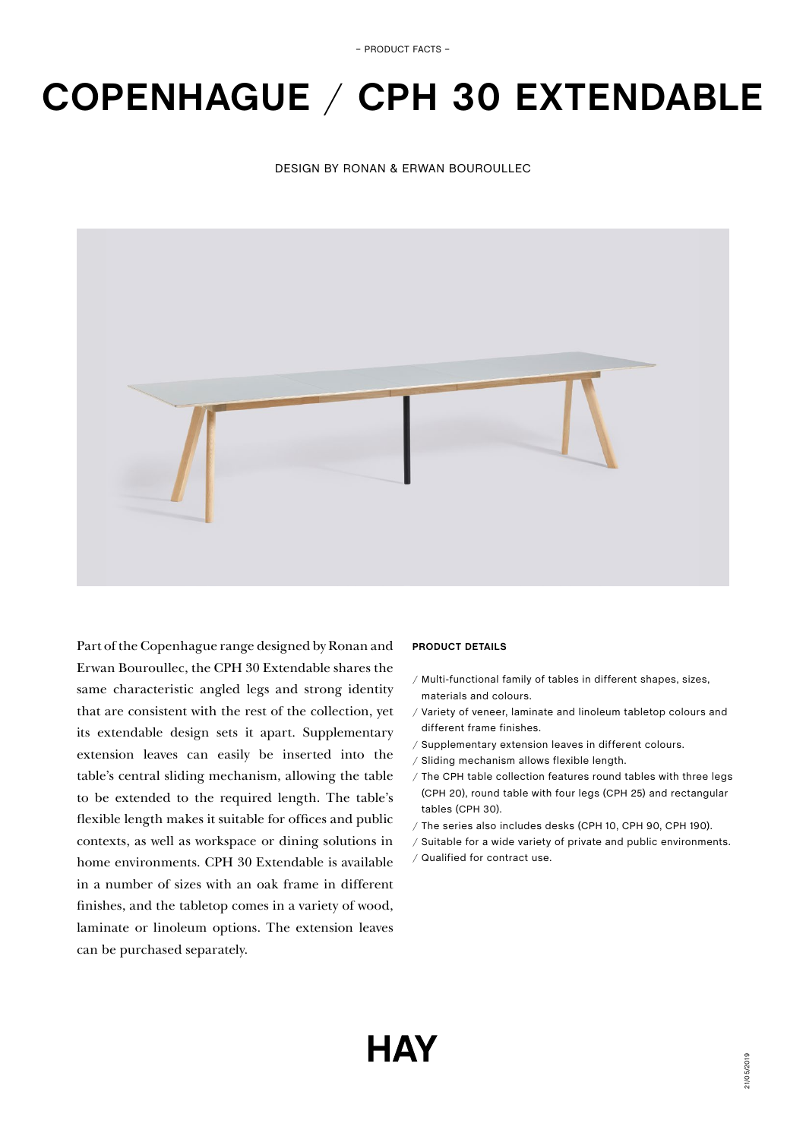# **COPENHAGUE** / **CPH 30 EXTENDABLE**

## DESIGN BY RONAN & ERWAN BOUROULLEC



Part of the Copenhague range designed by Ronan and Erwan Bouroullec, the CPH 30 Extendable shares the same characteristic angled legs and strong identity that are consistent with the rest of the collection, yet its extendable design sets it apart. Supplementary extension leaves can easily be inserted into the table's central sliding mechanism, allowing the table to be extended to the required length. The table's flexible length makes it suitable for offices and public contexts, as well as workspace or dining solutions in home environments. CPH 30 Extendable is available in a number of sizes with an oak frame in different finishes, and the tabletop comes in a variety of wood, laminate or linoleum options. The extension leaves can be purchased separately.

## **PRODUCT DETAILS**

- / Multi-functional family of tables in different shapes, sizes, materials and colours.
- / Variety of veneer, laminate and linoleum tabletop colours and different frame finishes.
- / Supplementary extension leaves in different colours.
- / Sliding mechanism allows flexible length.
- / The CPH table collection features round tables with three legs (CPH 20), round table with four legs (CPH 25) and rectangular tables (CPH 30).
- / The series also includes desks (CPH 10, CPH 90, CPH 190).
- / Suitable for a wide variety of private and public environments.
- / Qualified for contract use.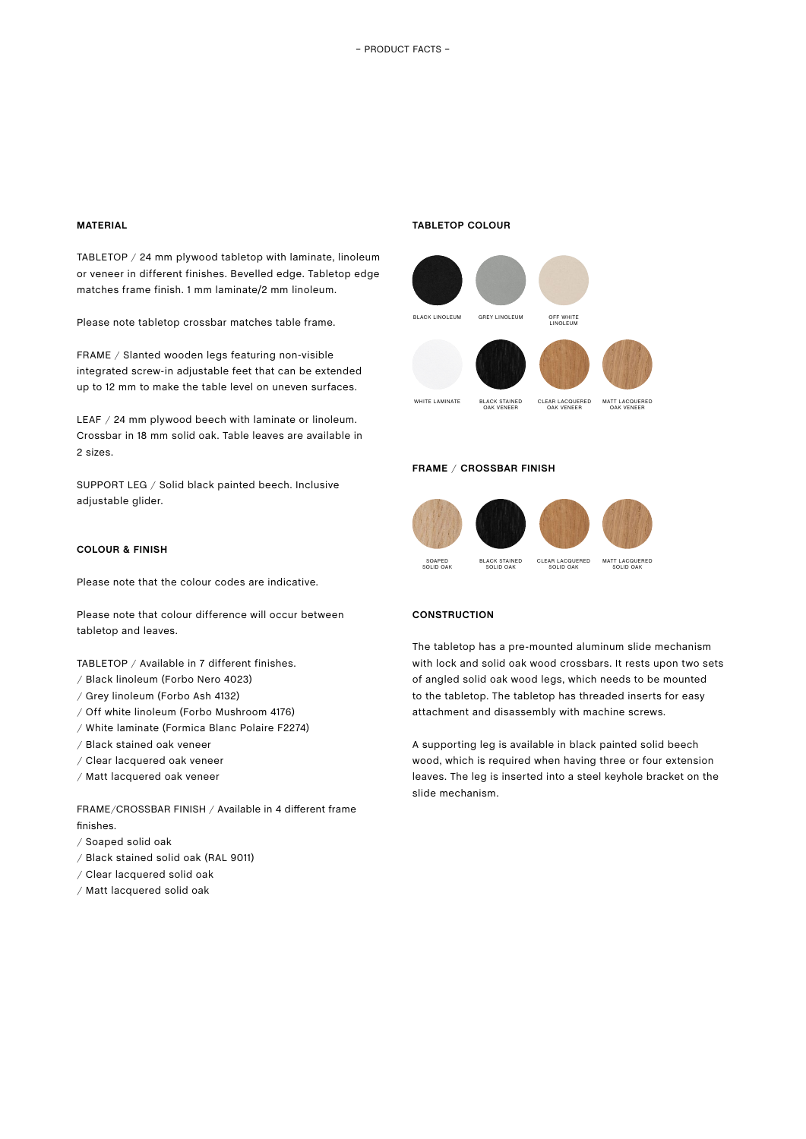## **MATERIAL**

TABLETOP / 24 mm plywood tabletop with laminate, linoleum or veneer in different finishes. Bevelled edge. Tabletop edge matches frame finish. 1 mm laminate/2 mm linoleum.

Please note tabletop crossbar matches table frame.

FRAME / Slanted wooden legs featuring non-visible integrated screw-in adjustable feet that can be extended up to 12 mm to make the table level on uneven surfaces.

LEAF / 24 mm plywood beech with laminate or linoleum. Crossbar in 18 mm solid oak. Table leaves are available in 2 sizes.

SUPPORT LEG / Solid black painted beech. Inclusive adjustable glider.

## **TABLETOP COLOUR**



## **FRAME** / **CROSSBAR FINISH**



# **COLOUR & FINISH**

Please note that the colour codes are indicative.

Please note that colour difference will occur between tabletop and leaves.

TABLETOP / Available in 7 different finishes.

- / Black linoleum (Forbo Nero 4023)
- / Grey linoleum (Forbo Ash 4132)
- / Off white linoleum (Forbo Mushroom 4176)
- / White laminate (Formica Blanc Polaire F2274)
- / Black stained oak veneer
- / Clear lacquered oak veneer
- / Matt lacquered oak veneer

FRAME/CROSSBAR FINISH / Available in 4 different frame finishes.

- / Soaped solid oak
- / Black stained solid oak (RAL 9011)
- / Clear lacquered solid oak
- / Matt lacquered solid oak

#### **CONSTRUCTION**

The tabletop has a pre-mounted aluminum slide mechanism with lock and solid oak wood crossbars. It rests upon two sets of angled solid oak wood legs, which needs to be mounted to the tabletop. The tabletop has threaded inserts for easy attachment and disassembly with machine screws.

A supporting leg is available in black painted solid beech wood, which is required when having three or four extension leaves. The leg is inserted into a steel keyhole bracket on the slide mechanism.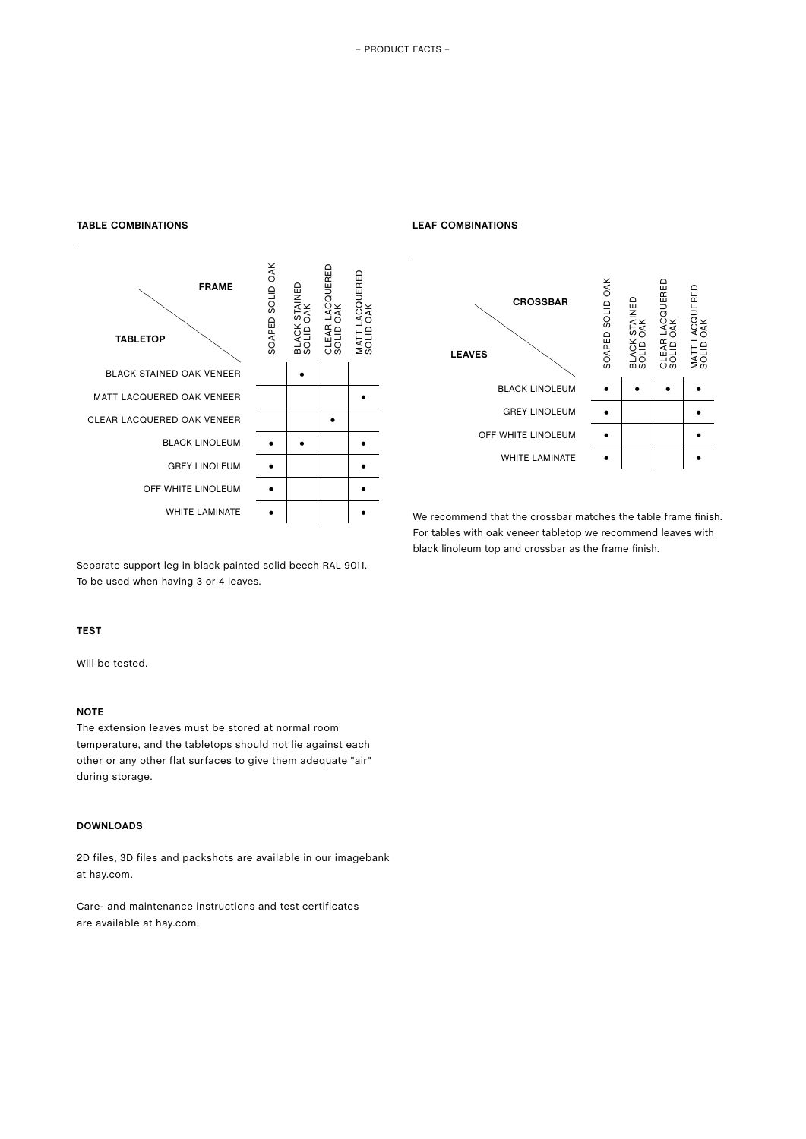



Separate support leg in black painted solid beech RAL 9011. To be used when having 3 or 4 leaves.

# **TEST**

Will be tested.

# **NOTE**

The extension leaves must be stored at normal room temperature, and the tabletops should not lie against each other or any other flat surfaces to give them adequate "air" during storage.

# **DOWNLOADS**

2D files, 3D files and packshots are available in our imagebank at hay.com.

Care- and maintenance instructions and test certificates are available at hay.com.

## **LEAF COMBINATIONS**



We recommend that the crossbar matches the table frame finish. For tables with oak veneer tabletop we recommend leaves with black linoleum top and crossbar as the frame finish.